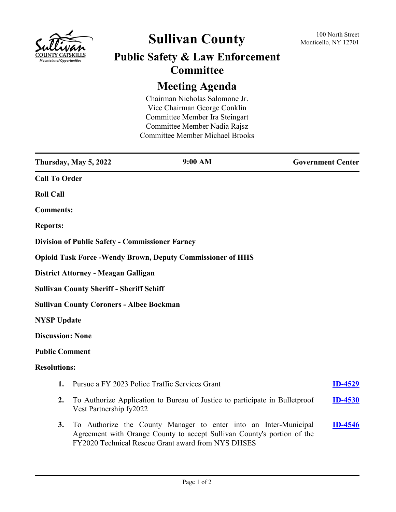

## **Sullivan County** 100 North Street 100 North Street

## **Public Safety & Law Enforcement Committee**

## **Meeting Agenda**

Chairman Nicholas Salomone Jr. Vice Chairman George Conklin Committee Member Ira Steingart Committee Member Nadia Rajsz Committee Member Michael Brooks

|                                                 | Thursday, May 5, 2022                                  | 9:00 AM                                                                                                                                                                                           | <b>Government Center</b> |
|-------------------------------------------------|--------------------------------------------------------|---------------------------------------------------------------------------------------------------------------------------------------------------------------------------------------------------|--------------------------|
| <b>Call To Order</b>                            |                                                        |                                                                                                                                                                                                   |                          |
| <b>Roll Call</b>                                |                                                        |                                                                                                                                                                                                   |                          |
| <b>Comments:</b>                                |                                                        |                                                                                                                                                                                                   |                          |
| <b>Reports:</b>                                 |                                                        |                                                                                                                                                                                                   |                          |
|                                                 | <b>Division of Public Safety - Commissioner Farney</b> |                                                                                                                                                                                                   |                          |
|                                                 |                                                        | <b>Opioid Task Force - Wendy Brown, Deputy Commissioner of HHS</b>                                                                                                                                |                          |
|                                                 | District Attorney - Meagan Galligan                    |                                                                                                                                                                                                   |                          |
| <b>Sullivan County Sheriff - Sheriff Schiff</b> |                                                        |                                                                                                                                                                                                   |                          |
| <b>Sullivan County Coroners - Albee Bockman</b> |                                                        |                                                                                                                                                                                                   |                          |
| <b>NYSP Update</b>                              |                                                        |                                                                                                                                                                                                   |                          |
| <b>Discussion: None</b>                         |                                                        |                                                                                                                                                                                                   |                          |
| <b>Public Comment</b>                           |                                                        |                                                                                                                                                                                                   |                          |
| <b>Resolutions:</b>                             |                                                        |                                                                                                                                                                                                   |                          |
| 1.                                              |                                                        | Pursue a FY 2023 Police Traffic Services Grant                                                                                                                                                    | <u>ID-4529</u>           |
| 2.                                              | Vest Partnership fy2022                                | To Authorize Application to Bureau of Justice to participate in Bulletproof                                                                                                                       | <b>ID-4530</b>           |
| 3.                                              |                                                        | To Authorize the County Manager to enter into an Inter-Municipal<br>Agreement with Orange County to accept Sullivan County's portion of the<br>FY2020 Technical Rescue Grant award from NYS DHSES | <b>ID-4546</b>           |